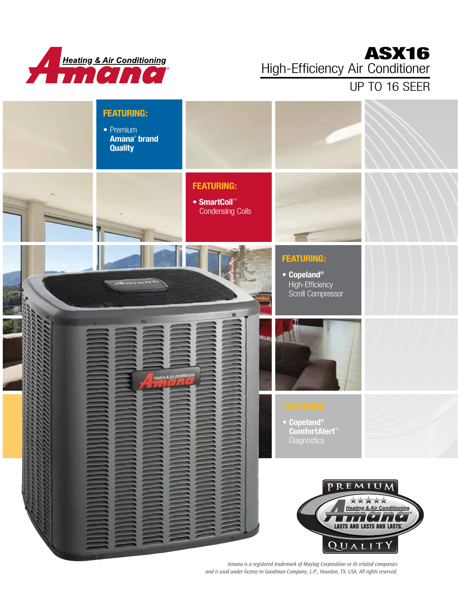

## ASX16 High-Efficiency Air Conditioner

UP TO 16 SEER



*Amana is a registered trademark of Maytag Corporation or its related companies and is used under license to Goodman Company, L.P., Houston, TX. USA. All rights reserved.*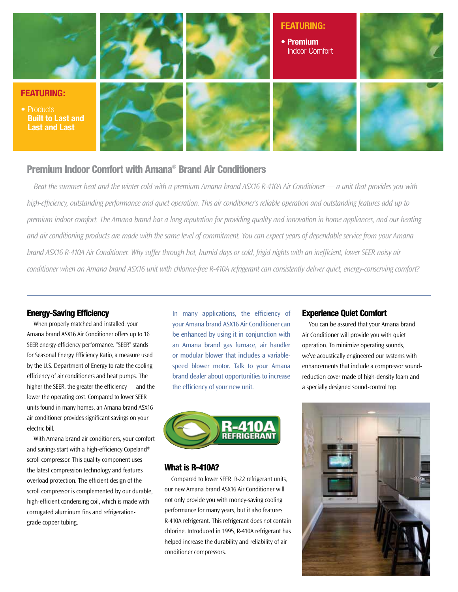

#### Premium Indoor Comfort with Amana® Brand Air Conditioners

*Beat the summer heat and the winter cold with a premium Amana brand ASX16 R-410A Air Conditioner — a unit that provides you with high-efficiency, outstanding performance and quiet operation. This air conditioner's reliable operation and outstanding features add up to premium indoor comfort. The Amana brand has a long reputation for providing quality and innovation in home appliances, and our heating and air conditioning products are made with the same level of commitment. You can expect years of dependable service from your Amana brand ASX16 R-410A Air Conditioner. Why suffer through hot, humid days or cold, frigid nights with an inefficient, lower SEER noisy air conditioner when an Amana brand ASX16 unit with chlorine-free R-410A refrigerant can consistently deliver quiet, energy-conserving comfort?*

#### Energy-Saving Efficiency

When properly matched and installed, your Amana brand ASX16 Air Conditioner offers up to 16 SEER energy-efficiency performance. "SEER" stands for Seasonal Energy Efficiency Ratio, a measure used by the U.S. Department of Energy to rate the cooling efficiency of air conditioners and heat pumps. The higher the SEER, the greater the efficiency — and the lower the operating cost. Compared to lower SEER units found in many homes, an Amana brand ASX16 air conditioner provides significant savings on your electric bill.

With Amana brand air conditioners, your comfort and savings start with a high-efficiency Copeland® scroll compressor. This quality component uses the latest compression technology and features overload protection. The efficient design of the scroll compressor is complemented by our durable, high-efficient condensing coil, which is made with corrugated aluminum fins and refrigerationgrade copper tubing.

In many applications, the efficiency of your Amana brand ASX16 Air Conditioner can be enhanced by using it in conjunction with an Amana brand gas furnace, air handler or modular blower that includes a variablespeed blower motor. Talk to your Amana brand dealer about opportunities to increase the efficiency of your new unit.



#### What is R-410A?

Compared to lower SEER, R-22 refrigerant units, our new Amana brand ASX16 Air Conditioner will not only provide you with money-saving cooling performance for many years, but it also features R-410A refrigerant. This refrigerant does not contain chlorine. Introduced in 1995, R-410A refrigerant has helped increase the durability and reliability of air conditioner compressors.

#### Experience Quiet Comfort

You can be assured that your Amana brand Air Conditioner will provide you with quiet operation. To minimize operating sounds, we've acoustically engineered our systems with enhancements that include a compressor soundreduction cover made of high-density foam and a specially designed sound-control top.

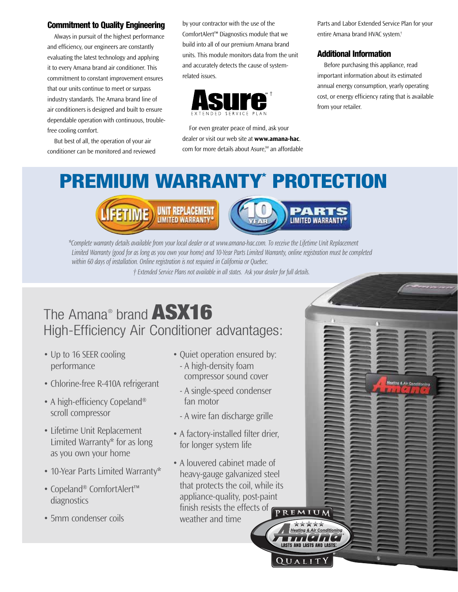#### Commitment to Quality Engineering

Always in pursuit of the highest performance and efficiency, our engineers are constantly evaluating the latest technology and applying it to every Amana brand air conditioner. This commitment to constant improvement ensures that our units continue to meet or surpass industry standards. The Amana brand line of air conditioners is designed and built to ensure dependable operation with continuous, troublefree cooling comfort.

But best of all, the operation of your air conditioner can be monitored and reviewed by your contractor with the use of the ComfortAlert™ Diagnostics module that we build into all of our premium Amana brand units. This module monitors data from the unit and accurately detects the cause of systemrelated issues.



For even greater peace of mind, ask your dealer or visit our web site at **www.amana-hac**. com for more details about Asure,<sup>SM</sup> an affordable Parts and Labor Extended Service Plan for your entire Amana brand HVAC system.†

#### Additional Information

Before purchasing this appliance, read important information about its estimated annual energy consumption, yearly operating cost, or energy efficiency rating that is available from your retailer.

thing & Air Cow

# PREMIUM WARRANTY\* PROTECTION





★★★★★ **Heating & Air Conditioning**  $112112$ **LASTS AND LASTS AND LASTS** 

QUALIT

*\*Complete warranty details available from your local dealer or at www.amana-hac.com. To receive the Lifetime Unit Replacement Limited Warranty (good for as long as you own your home) and 10-Year Parts Limited Warranty, online registration must be completed within 60 days of installation. Online registration is not required in California or Quebec.*

*† Extended Service Plans not available in all states. Ask your dealer for full details.*

# The Amana® brand ASX16 High-Efficiency Air Conditioner advantages:

- Up to 16 SEER cooling performance
- Chlorine-free R-410A refrigerant
- A high-efficiency Copeland<sup>®</sup> scroll compressor
- Lifetime Unit Replacement Limited Warranty\* for as long as you own your home
- 10-Year Parts Limited Warranty\*
- Copeland® ComfortAlert™ diagnostics
- 5mm condenser coils
- Ouiet operation ensured by: - A high-density foam compressor sound cover
	- A single-speed condenser fan motor
	- A wire fan discharge grille
- A factory-installed filter drier, for longer system life
- A louvered cabinet made of heavy-gauge galvanized steel that protects the coil, while its appliance-quality, post-paint finish resists the effects of PREMIUM weather and time